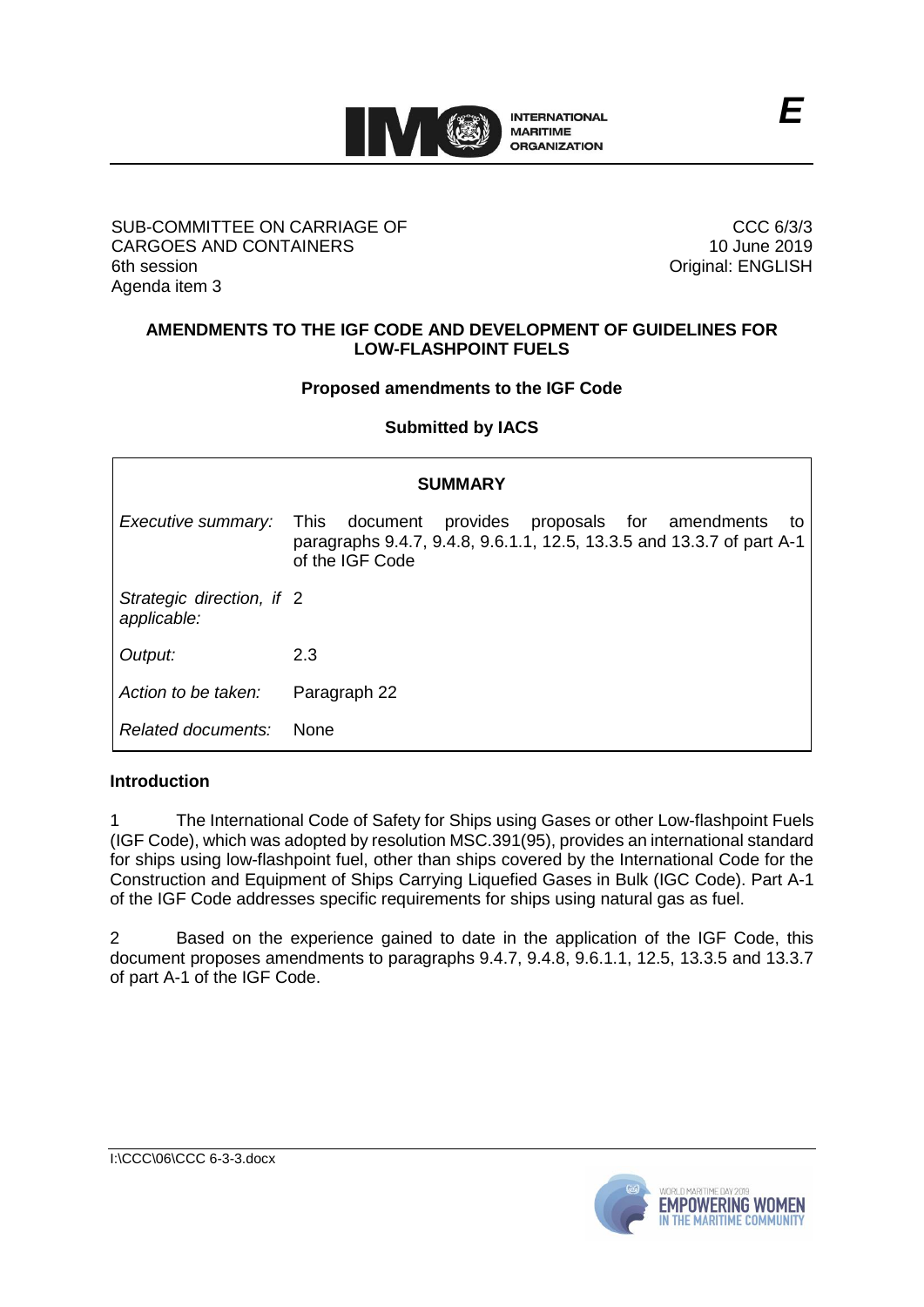

#### SUB-COMMITTEE ON CARRIAGE OF CARGOES AND CONTAINERS 6th session Agenda item 3

CCC 6/3/3 10 June 2019 Original: ENGLISH

# **AMENDMENTS TO THE IGF CODE AND DEVELOPMENT OF GUIDELINES FOR LOW-FLASHPOINT FUELS**

## **Proposed amendments to the IGF Code**

**Submitted by IACS**

| <b>SUMMARY</b>                           |                                                                                                                                                        |
|------------------------------------------|--------------------------------------------------------------------------------------------------------------------------------------------------------|
| Executive summary:                       | document provides proposals for amendments<br>This.<br>to:<br>paragraphs 9.4.7, 9.4.8, 9.6.1.1, 12.5, 13.3.5 and 13.3.7 of part A-1<br>of the IGF Code |
| Strategic direction, if 2<br>applicable: |                                                                                                                                                        |
| Output:                                  | 2.3                                                                                                                                                    |
| Action to be taken:                      | Paragraph 22                                                                                                                                           |
| Related documents:                       | <b>None</b>                                                                                                                                            |

## **Introduction**

1 The International Code of Safety for Ships using Gases or other Low-flashpoint Fuels (IGF Code), which was adopted by resolution MSC.391(95), provides an international standard for ships using low-flashpoint fuel, other than ships covered by the International Code for the Construction and Equipment of Ships Carrying Liquefied Gases in Bulk (IGC Code). Part A-1 of the IGF Code addresses specific requirements for ships using natural gas as fuel.

2 Based on the experience gained to date in the application of the IGF Code, this document proposes amendments to paragraphs 9.4.7, 9.4.8, 9.6.1.1, 12.5, 13.3.5 and 13.3.7 of part A-1 of the IGF Code.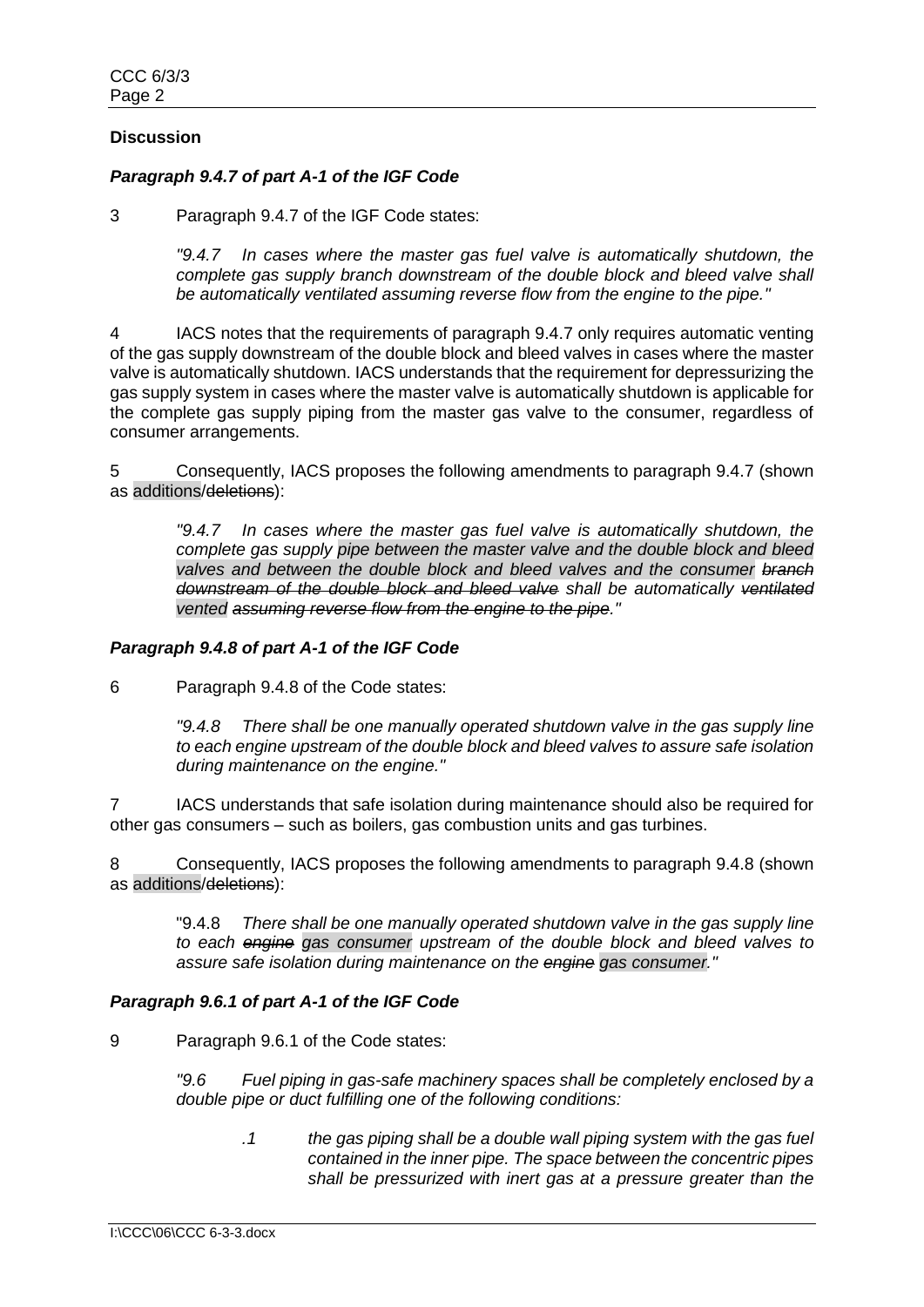# **Discussion**

# *Paragraph 9.4.7 of part A-1 of the IGF Code*

3 Paragraph 9.4.7 of the IGF Code states:

*"9.4.7 In cases where the master gas fuel valve is automatically shutdown, the complete gas supply branch downstream of the double block and bleed valve shall be automatically ventilated assuming reverse flow from the engine to the pipe."*

4 IACS notes that the requirements of paragraph 9.4.7 only requires automatic venting of the gas supply downstream of the double block and bleed valves in cases where the master valve is automatically shutdown. IACS understands that the requirement for depressurizing the gas supply system in cases where the master valve is automatically shutdown is applicable for the complete gas supply piping from the master gas valve to the consumer, regardless of consumer arrangements.

5 Consequently, IACS proposes the following amendments to paragraph 9.4.7 (shown as additions/deletions):

*"9.4.7 In cases where the master gas fuel valve is automatically shutdown, the complete gas supply pipe between the master valve and the double block and bleed valves and between the double block and bleed valves and the consumer branch downstream of the double block and bleed valve shall be automatically ventilated vented assuming reverse flow from the engine to the pipe."*

# *Paragraph 9.4.8 of part A-1 of the IGF Code*

6 Paragraph 9.4.8 of the Code states:

*"9.4.8 There shall be one manually operated shutdown valve in the gas supply line to each engine upstream of the double block and bleed valves to assure safe isolation during maintenance on the engine."*

7 IACS understands that safe isolation during maintenance should also be required for other gas consumers – such as boilers, gas combustion units and gas turbines.

8 Consequently, IACS proposes the following amendments to paragraph 9.4.8 (shown as additions/deletions):

"9.4.8 *There shall be one manually operated shutdown valve in the gas supply line to each engine gas consumer upstream of the double block and bleed valves to assure safe isolation during maintenance on the engine gas consumer."*

## *Paragraph 9.6.1 of part A-1 of the IGF Code*

9 Paragraph 9.6.1 of the Code states:

*"9.6 Fuel piping in gas-safe machinery spaces shall be completely enclosed by a double pipe or duct fulfilling one of the following conditions:*

> *.1 the gas piping shall be a double wall piping system with the gas fuel contained in the inner pipe. The space between the concentric pipes shall be pressurized with inert gas at a pressure greater than the*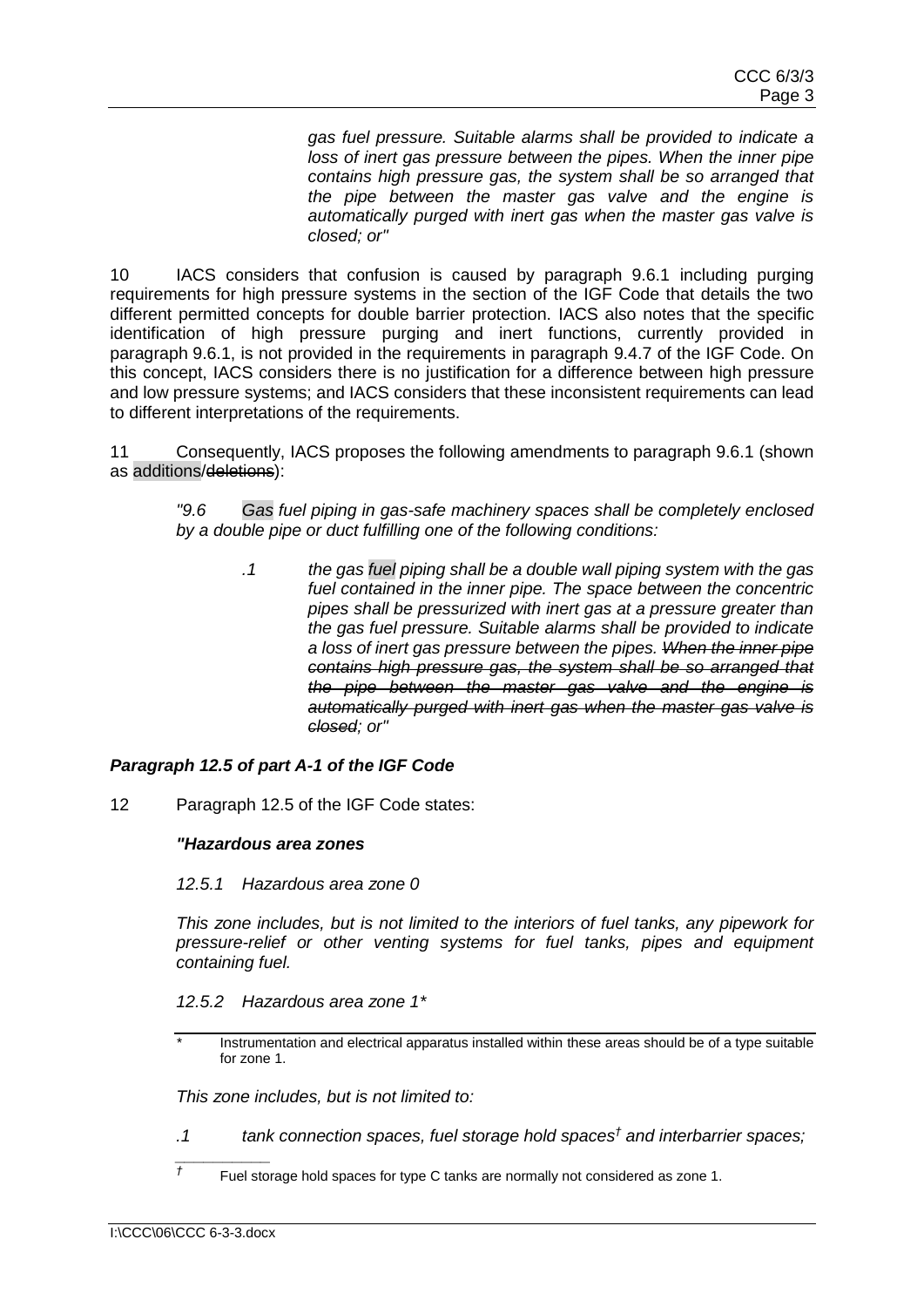*gas fuel pressure. Suitable alarms shall be provided to indicate a loss of inert gas pressure between the pipes. When the inner pipe contains high pressure gas, the system shall be so arranged that the pipe between the master gas valve and the engine is automatically purged with inert gas when the master gas valve is closed; or"*

10 IACS considers that confusion is caused by paragraph 9.6.1 including purging requirements for high pressure systems in the section of the IGF Code that details the two different permitted concepts for double barrier protection. IACS also notes that the specific identification of high pressure purging and inert functions, currently provided in paragraph 9.6.1, is not provided in the requirements in paragraph 9.4.7 of the IGF Code. On this concept, IACS considers there is no justification for a difference between high pressure and low pressure systems; and IACS considers that these inconsistent requirements can lead to different interpretations of the requirements.

11 Consequently, IACS proposes the following amendments to paragraph 9.6.1 (shown as additions/deletions):

*"9.6 Gas fuel piping in gas-safe machinery spaces shall be completely enclosed by a double pipe or duct fulfilling one of the following conditions:* 

*.1 the gas fuel piping shall be a double wall piping system with the gas fuel contained in the inner pipe. The space between the concentric pipes shall be pressurized with inert gas at a pressure greater than the gas fuel pressure. Suitable alarms shall be provided to indicate a loss of inert gas pressure between the pipes. When the inner pipe contains high pressure gas, the system shall be so arranged that the pipe between the master gas valve and the engine is automatically purged with inert gas when the master gas valve is closed; or"*

## *Paragraph 12.5 of part A-1 of the IGF Code*

12 Paragraph 12.5 of the IGF Code states:

#### *"Hazardous area zones*

*12.5.1 Hazardous area zone 0*

*This zone includes, but is not limited to the interiors of fuel tanks, any pipework for pressure-relief or other venting systems for fuel tanks, pipes and equipment containing fuel.*

*12.5.2 Hazardous area zone 1\**

*This zone includes, but is not limited to:*

- *.1 tank connection spaces, fuel storage hold spaces† and interbarrier spaces;*
- *†* Fuel storage hold spaces for type C tanks are normally not considered as zone 1.

*\_\_\_\_\_\_\_\_\_\_* 

*<sup>\*</sup>* Instrumentation and electrical apparatus installed within these areas should be of a type suitable for zone 1.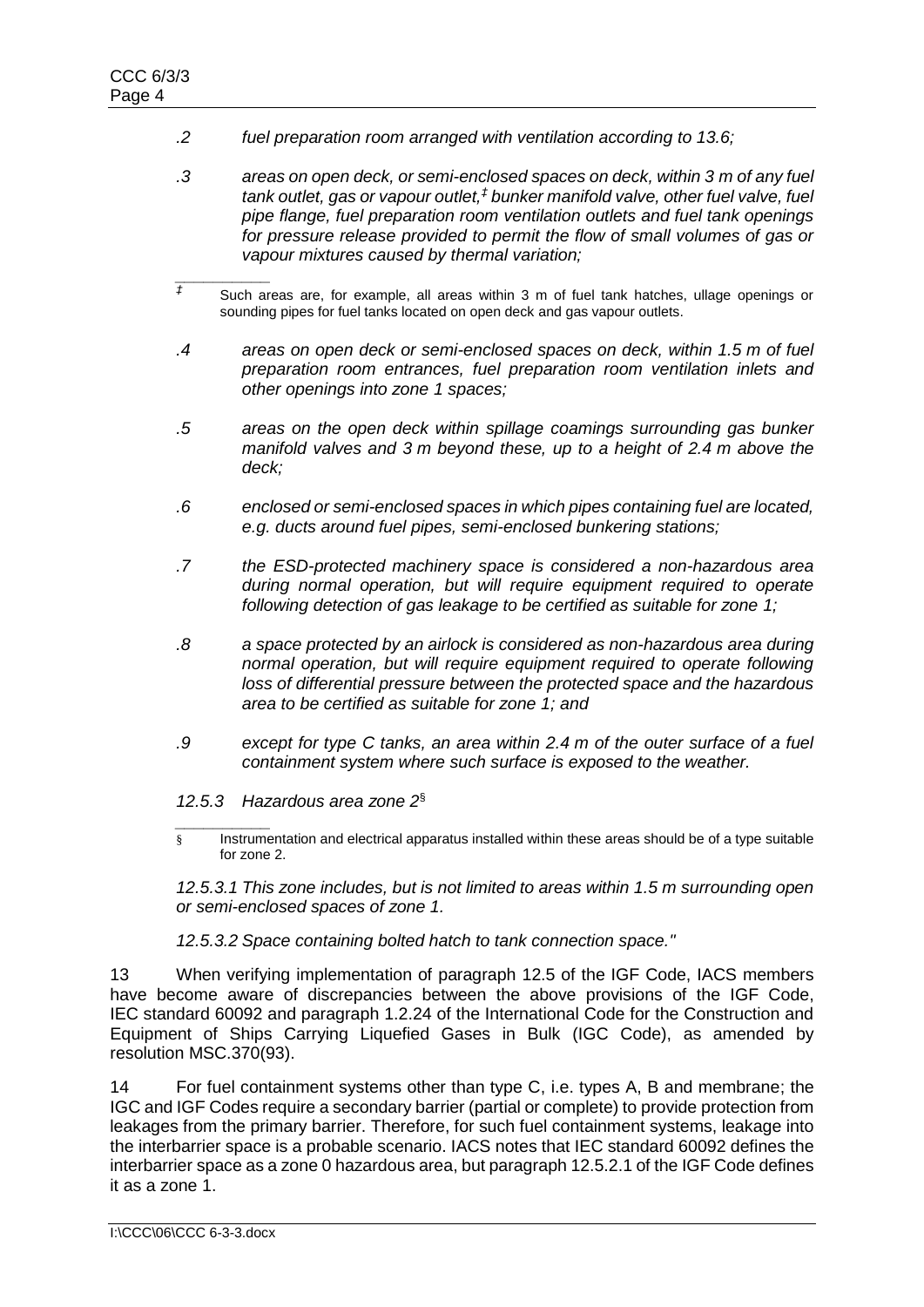- *.2 fuel preparation room arranged with ventilation according to 13.6;*
- *.3 areas on open deck, or semi-enclosed spaces on deck, within 3 m of any fuel tank outlet, gas or vapour outlet,‡ bunker manifold valve, other fuel valve, fuel pipe flange, fuel preparation room ventilation outlets and fuel tank openings for pressure release provided to permit the flow of small volumes of gas or vapour mixtures caused by thermal variation;*
- *\_\_\_\_\_\_\_\_\_\_ ‡* Such areas are, for example, all areas within 3 m of fuel tank hatches, ullage openings or sounding pipes for fuel tanks located on open deck and gas vapour outlets.
- *.4 areas on open deck or semi-enclosed spaces on deck, within 1.5 m of fuel preparation room entrances, fuel preparation room ventilation inlets and other openings into zone 1 spaces;*
- *.5 areas on the open deck within spillage coamings surrounding gas bunker manifold valves and 3 m beyond these, up to a height of 2.4 m above the deck;*
- *.6 enclosed or semi-enclosed spaces in which pipes containing fuel are located, e.g. ducts around fuel pipes, semi-enclosed bunkering stations;*
- *.7 the ESD-protected machinery space is considered a non-hazardous area during normal operation, but will require equipment required to operate following detection of gas leakage to be certified as suitable for zone 1;*
- *.8 a space protected by an airlock is considered as non-hazardous area during normal operation, but will require equipment required to operate following loss of differential pressure between the protected space and the hazardous area to be certified as suitable for zone 1; and*
- *.9 except for type C tanks, an area within 2.4 m of the outer surface of a fuel containment system where such surface is exposed to the weather.*

*12.5.3 Hazardous area zone 2*§

*\_\_\_\_\_\_\_\_\_\_*  § Instrumentation and electrical apparatus installed within these areas should be of a type suitable for zone 2.

*12.5.3.1 This zone includes, but is not limited to areas within 1.5 m surrounding open or semi-enclosed spaces of zone 1.*

*12.5.3.2 Space containing bolted hatch to tank connection space."*

13 When verifying implementation of paragraph 12.5 of the IGF Code, IACS members have become aware of discrepancies between the above provisions of the IGF Code, IEC standard 60092 and paragraph 1.2.24 of the International Code for the Construction and Equipment of Ships Carrying Liquefied Gases in Bulk (IGC Code), as amended by resolution MSC.370(93).

14 For fuel containment systems other than type C, i.e. types A, B and membrane; the IGC and IGF Codes require a secondary barrier (partial or complete) to provide protection from leakages from the primary barrier. Therefore, for such fuel containment systems, leakage into the interbarrier space is a probable scenario. IACS notes that IEC standard 60092 defines the interbarrier space as a zone 0 hazardous area, but paragraph 12.5.2.1 of the IGF Code defines it as a zone 1.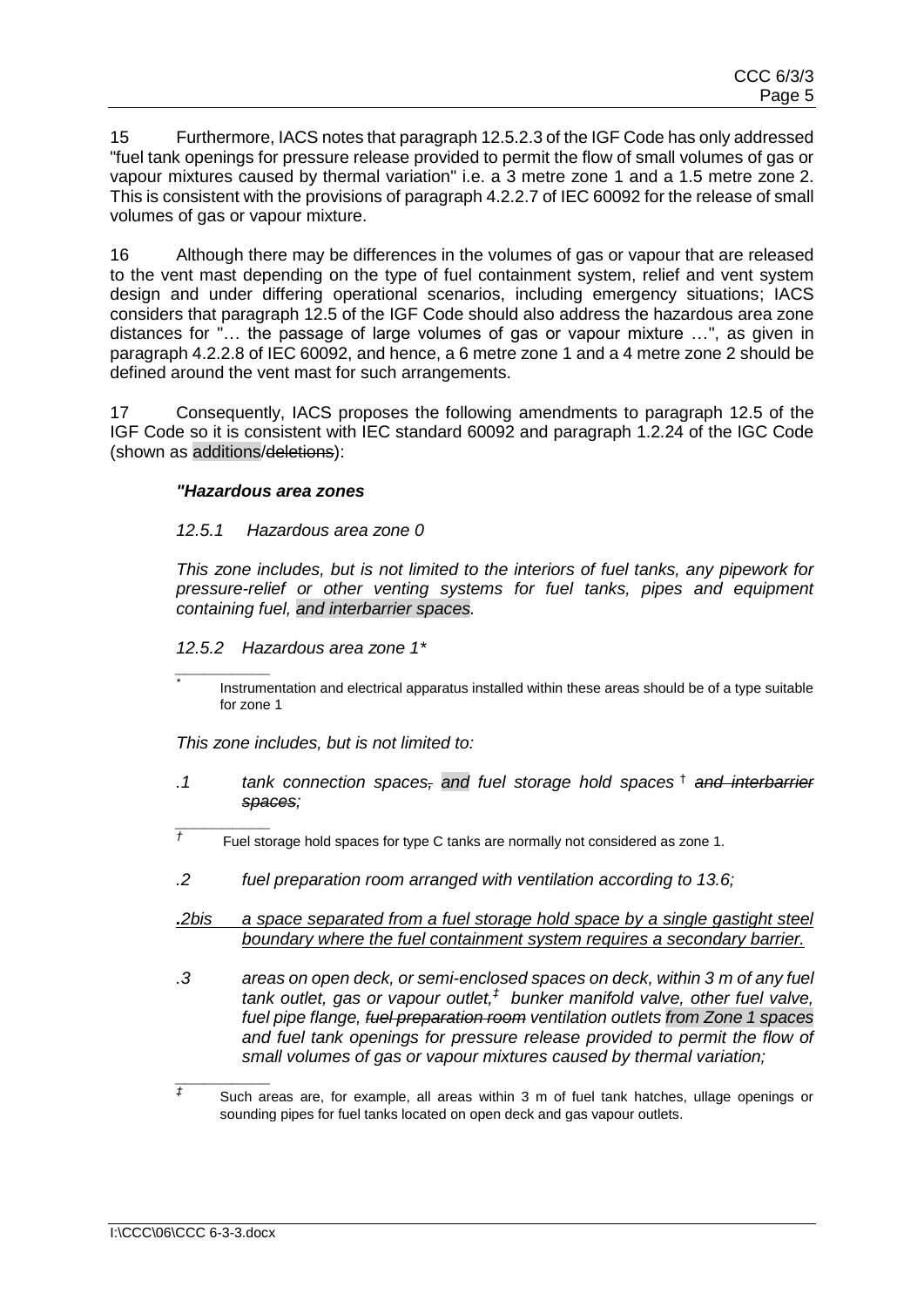15 Furthermore, IACS notes that paragraph 12.5.2.3 of the IGF Code has only addressed "fuel tank openings for pressure release provided to permit the flow of small volumes of gas or vapour mixtures caused by thermal variation" i.e. a 3 metre zone 1 and a 1.5 metre zone 2. This is consistent with the provisions of paragraph 4.2.2.7 of IEC 60092 for the release of small volumes of gas or vapour mixture.

16 Although there may be differences in the volumes of gas or vapour that are released to the vent mast depending on the type of fuel containment system, relief and vent system design and under differing operational scenarios, including emergency situations; IACS considers that paragraph 12.5 of the IGF Code should also address the hazardous area zone distances for "… the passage of large volumes of gas or vapour mixture …", as given in paragraph 4.2.2.8 of IEC 60092, and hence, a 6 metre zone 1 and a 4 metre zone 2 should be defined around the vent mast for such arrangements.

17 Consequently, IACS proposes the following amendments to paragraph 12.5 of the IGF Code so it is consistent with IEC standard 60092 and paragraph 1.2.24 of the IGC Code (shown as additions/deletions):

#### *"Hazardous area zones*

#### *12.5.1 Hazardous area zone 0*

*This zone includes, but is not limited to the interiors of fuel tanks, any pipework for pressure-relief or other venting systems for fuel tanks, pipes and equipment containing fuel, and interbarrier spaces.*

*12.5.2 Hazardous area zone 1\**

*\_\_\_\_\_\_\_\_\_\_* 

*\_\_\_\_\_\_\_\_\_\_* 

*\**

*This zone includes, but is not limited to:*

- *.1 tank connection spaces, and fuel storage hold spaces* † *and interbarrier spaces;*
- *†* Fuel storage hold spaces for type C tanks are normally not considered as zone 1.
- *.2 fuel preparation room arranged with ventilation according to 13.6;*
- *.2bis a space separated from a fuel storage hold space by a single gastight steel boundary where the fuel containment system requires a secondary barrier.*
- *.3 areas on open deck, or semi-enclosed spaces on deck, within 3 m of any fuel tank outlet, gas or vapour outlet,‡ bunker manifold valve, other fuel valve, fuel pipe flange, fuel preparation room ventilation outlets from Zone 1 spaces and fuel tank openings for pressure release provided to permit the flow of small volumes of gas or vapour mixtures caused by thermal variation;*

Instrumentation and electrical apparatus installed within these areas should be of a type suitable for zone 1

*\_\_\_\_\_\_\_\_\_\_ ‡* Such areas are, for example, all areas within 3 m of fuel tank hatches, ullage openings or sounding pipes for fuel tanks located on open deck and gas vapour outlets.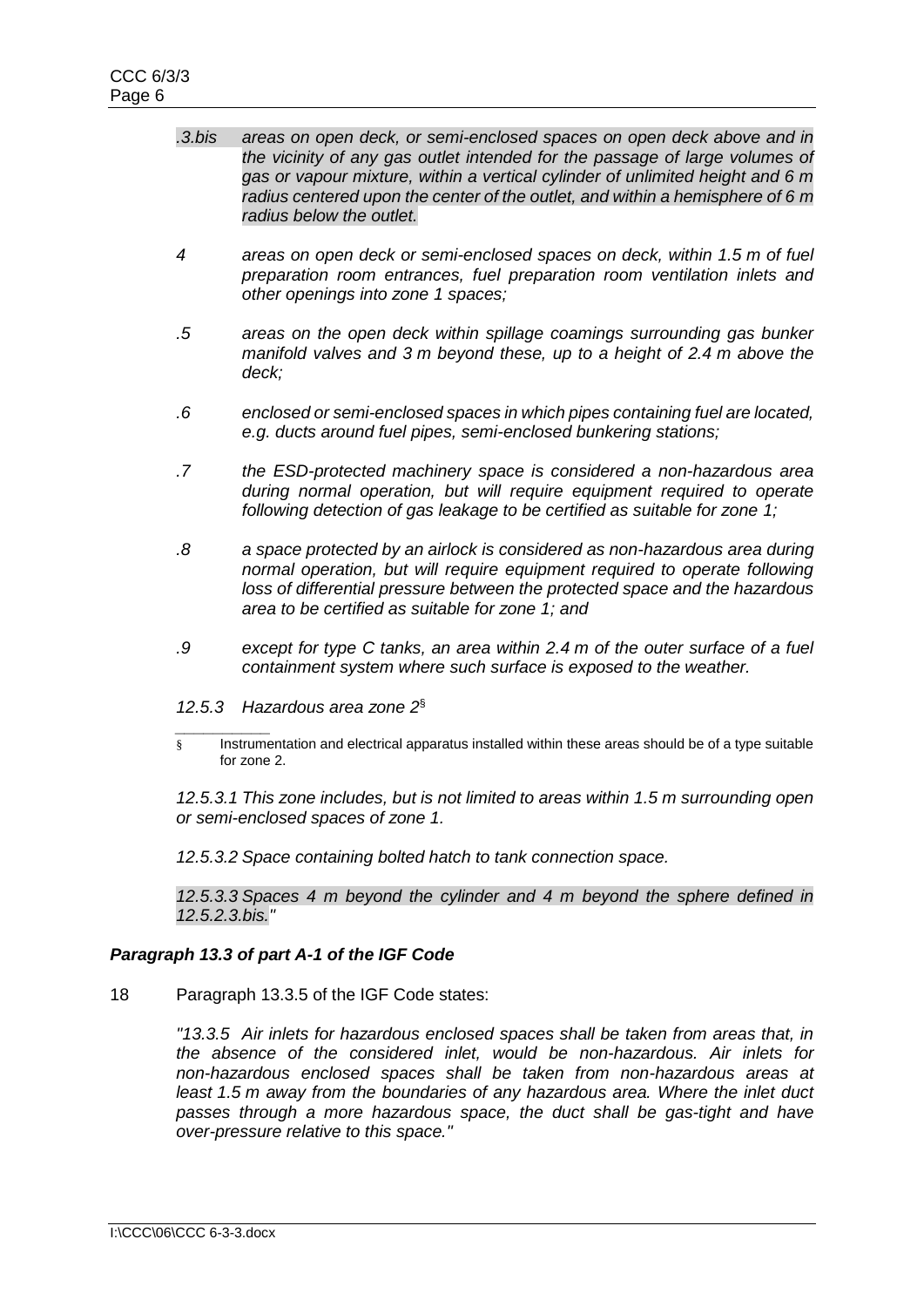- *.3.bis areas on open deck, or semi-enclosed spaces on open deck above and in the vicinity of any gas outlet intended for the passage of large volumes of gas or vapour mixture, within a vertical cylinder of unlimited height and 6 m radius centered upon the center of the outlet, and within a hemisphere of 6 m radius below the outlet.*
- *4 areas on open deck or semi-enclosed spaces on deck, within 1.5 m of fuel preparation room entrances, fuel preparation room ventilation inlets and other openings into zone 1 spaces;*
- *.5 areas on the open deck within spillage coamings surrounding gas bunker manifold valves and 3 m beyond these, up to a height of 2.4 m above the deck;*
- *.6 enclosed or semi-enclosed spaces in which pipes containing fuel are located, e.g. ducts around fuel pipes, semi-enclosed bunkering stations;*
- *.7 the ESD-protected machinery space is considered a non-hazardous area during normal operation, but will require equipment required to operate following detection of gas leakage to be certified as suitable for zone 1;*
- *.8 a space protected by an airlock is considered as non-hazardous area during normal operation, but will require equipment required to operate following loss of differential pressure between the protected space and the hazardous area to be certified as suitable for zone 1; and*
- *.9 except for type C tanks, an area within 2.4 m of the outer surface of a fuel containment system where such surface is exposed to the weather.*
- *12.5.3 Hazardous area zone 2* §
- *\_\_\_\_\_\_\_\_\_\_*  § Instrumentation and electrical apparatus installed within these areas should be of a type suitable for zone 2.

*12.5.3.1 This zone includes, but is not limited to areas within 1.5 m surrounding open or semi-enclosed spaces of zone 1.*

*12.5.3.2 Space containing bolted hatch to tank connection space.*

*12.5.3.3 Spaces 4 m beyond the cylinder and 4 m beyond the sphere defined in 12.5.2.3.bis."*

## *Paragraph 13.3 of part A-1 of the IGF Code*

18 Paragraph 13.3.5 of the IGF Code states:

*"13.3.5 Air inlets for hazardous enclosed spaces shall be taken from areas that, in the absence of the considered inlet, would be non-hazardous. Air inlets for non-hazardous enclosed spaces shall be taken from non-hazardous areas at least 1.5 m away from the boundaries of any hazardous area. Where the inlet duct passes through a more hazardous space, the duct shall be gas-tight and have over-pressure relative to this space."*